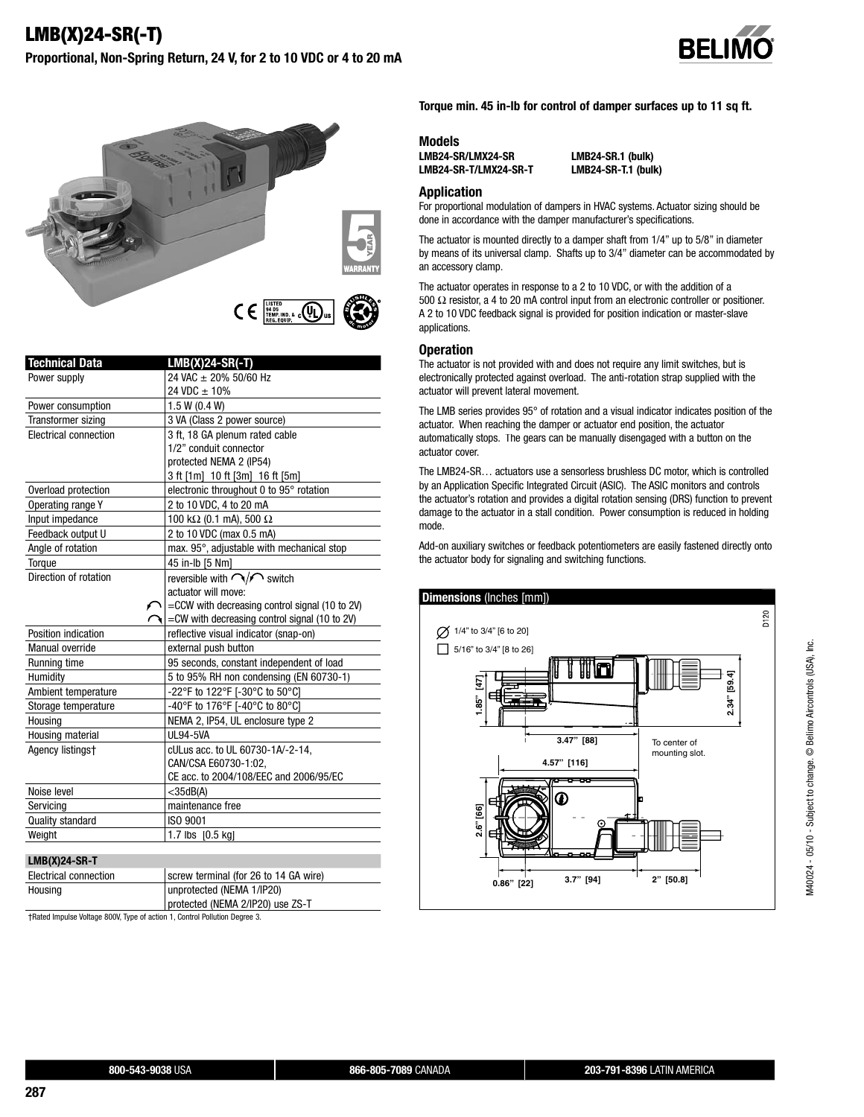



| <b>Technical Data</b> | $LMB(X)24-SR(-T)$                              |
|-----------------------|------------------------------------------------|
| Power supply          | 24 VAC ± 20% 50/60 Hz                          |
|                       | 24 VDC $\pm$ 10%                               |
| Power consumption     | 1.5 W (0.4 W)                                  |
| Transformer sizing    | 3 VA (Class 2 power source)                    |
| Electrical connection | 3 ft, 18 GA plenum rated cable                 |
|                       | 1/2" conduit connector                         |
|                       | protected NEMA 2 (IP54)                        |
|                       | 3 ft [1m] 10 ft [3m] 16 ft [5m]                |
| Overload protection   | electronic throughout 0 to 95° rotation        |
| Operating range Y     | 2 to 10 VDC, 4 to 20 mA                        |
| Input impedance       | 100 k $\Omega$ (0.1 mA), 500 $\Omega$          |
| Feedback output U     | 2 to 10 VDC (max 0.5 mA)                       |
| Angle of rotation     | max. 95°, adjustable with mechanical stop      |
| Torque                | 45 in-lb [5 Nm]                                |
| Direction of rotation | reversible with $\bigcap/\bigcap$ switch       |
|                       | actuator will move:                            |
|                       | =CCW with decreasing control signal (10 to 2V) |
|                       | =CW with decreasing control signal (10 to 2V)  |
| Position indication   | reflective visual indicator (snap-on)          |
| Manual override       | external push button                           |
| Running time          | 95 seconds, constant independent of load       |
| Humidity              | 5 to 95% RH non condensing (EN 60730-1)        |
| Ambient temperature   | -22°F to 122°F [-30°C to 50°C]                 |
| Storage temperature   | -40°F to 176°F [-40°C to 80°C]                 |
| Housing               | NEMA 2, IP54, UL enclosure type 2              |
| Housing material      | <b>UL94-5VA</b>                                |
| Agency listingst      | cULus acc. to UL 60730-1A/-2-14,               |
|                       | CAN/CSA E60730-1:02.                           |
|                       | CE acc. to 2004/108/EEC and 2006/95/EC         |
| Noise level           | $<$ 35dB(A)                                    |
| Servicing             | maintenance free                               |
| Quality standard      | ISO 9001                                       |
| Weight                | 1.7 lbs [0.5 kg]                               |
|                       |                                                |

#### **LMB(X)24-SR-T**

| Electrical connection | screw terminal (for 26 to 14 GA wire) |
|-----------------------|---------------------------------------|
| Housing               | unprotected (NEMA 1/IP20)             |
|                       | protected (NEMA 2/IP20) use ZS-T      |

† Rated Impulse Voltage 800V, Type of action 1, Control Pollution Degree 3.

**Torque min. 45 in-lb for control of damper surfaces up to 11 sq ft.**

**Models LMB24-SR/LMX24-SR LMB24-SR.1 (bulk)**

**LMB24-SR-T.1 (bulk)** 

#### **Application**

For proportional modulation of dampers in HVAC systems. Actuator sizing should be done in accordance with the damper manufacturer's specifications.

The actuator is mounted directly to a damper shaft from 1/4" up to 5/8" in diameter by means of its universal clamp. Shafts up to 3/4" diameter can be accommodated by an accessory clamp.

The actuator operates in response to a 2 to 10 VDC, or with the addition of a 500 Ω resistor, a 4 to 20 mA control input from an electronic controller or positioner. A 2 to 10 VDC feedback signal is provided for position indication or master-slave applications.

#### **Operation**

The actuator is not provided with and does not require any limit switches, but is electronically protected against overload. The anti-rotation strap supplied with the actuator will prevent lateral movement.

The LMB series provides 95° of rotation and a visual indicator indicates position of the actuator. When reaching the damper or actuator end position, the actuator automatically stops. The gears can be manually disengaged with a button on the actuator cover.

The LMB24-SR… actuators use a sensorless brushless DC motor, which is controlled by an Application Specific Integrated Circuit (ASIC). The ASIC monitors and controls the actuator's rotation and provides a digital rotation sensing (DRS) function to prevent damage to the actuator in a stall condition. Power consumption is reduced in holding mode.

Add-on auxiliary switches or feedback potentiometers are easily fastened directly onto the actuator body for signaling and switching functions.